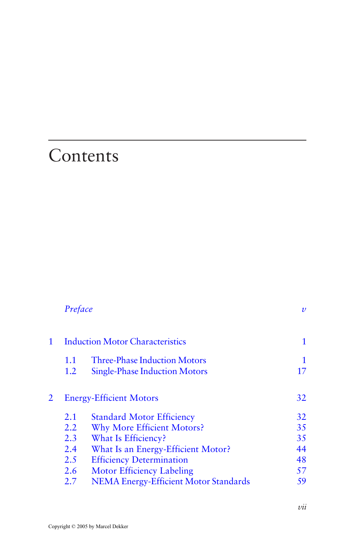## <span id="page-0-0"></span>**Contents**

|                | Preface                                |                                              | $\boldsymbol{\nu}$ |
|----------------|----------------------------------------|----------------------------------------------|--------------------|
| $\mathbf{1}$   | <b>Induction Motor Characteristics</b> |                                              |                    |
|                | 1.1                                    | <b>Three-Phase Induction Motors</b>          | 1                  |
|                | 1.2                                    | <b>Single-Phase Induction Motors</b>         | 17                 |
| $\overline{2}$ | <b>Energy-Efficient Motors</b>         |                                              | 32                 |
|                | 2.1                                    | <b>Standard Motor Efficiency</b>             | 32                 |
|                | 2.2                                    | <b>Why More Efficient Motors?</b>            | 35                 |
|                | 2.3                                    | What Is Efficiency?                          | 35                 |
|                | 2.4                                    | What Is an Energy-Efficient Motor?           | 44                 |
|                | 2.5                                    | <b>Efficiency Determination</b>              | 48                 |
|                | 2.6                                    | <b>Motor Efficiency Labeling</b>             | 57                 |
|                | 2.7                                    | <b>NEMA Energy-Efficient Motor Standards</b> | 59                 |
|                |                                        |                                              |                    |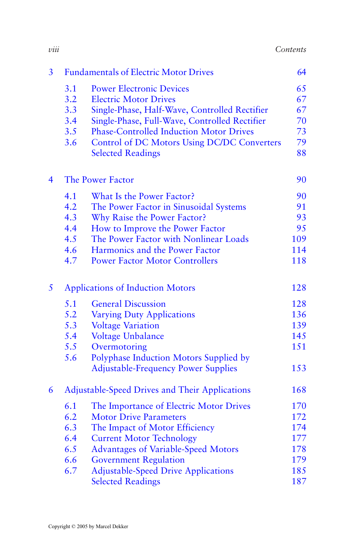| 3                        |                                                | <b>Fundamentals of Electric Motor Drives</b>   | 64  |
|--------------------------|------------------------------------------------|------------------------------------------------|-----|
|                          | 3.1                                            | <b>Power Electronic Devices</b>                | 65  |
|                          | 3.2                                            | <b>Electric Motor Drives</b>                   | 67  |
|                          | 3.3                                            | Single-Phase, Half-Wave, Controlled Rectifier  | 67  |
|                          | 3.4                                            | Single-Phase, Full-Wave, Controlled Rectifier  | 70  |
|                          | 3.5                                            | <b>Phase-Controlled Induction Motor Drives</b> | 73  |
|                          | 3.6                                            | Control of DC Motors Using DC/DC Converters    | 79  |
|                          |                                                | <b>Selected Readings</b>                       | 88  |
| $\overline{\mathcal{A}}$ | <b>The Power Factor</b>                        |                                                |     |
|                          | 4.1                                            | What Is the Power Factor?                      | 90  |
|                          | 4.2                                            | The Power Factor in Sinusoidal Systems         | 91  |
|                          | 4.3                                            | Why Raise the Power Factor?                    | 93  |
|                          | 4.4                                            | How to Improve the Power Factor                | 95  |
|                          | 4.5                                            | The Power Factor with Nonlinear Loads          | 109 |
|                          | 4.6                                            | Harmonics and the Power Factor                 | 114 |
|                          | 4.7                                            | <b>Power Factor Motor Controllers</b>          | 118 |
| 5                        |                                                | <b>Applications of Induction Motors</b>        | 128 |
|                          | 5.1                                            | <b>General Discussion</b>                      | 128 |
|                          | 5.2                                            | <b>Varying Duty Applications</b>               | 136 |
|                          | 5.3                                            | <b>Voltage Variation</b>                       | 139 |
|                          | 5.4                                            | Voltage Unbalance                              | 145 |
|                          | 5.5                                            | Overmotoring                                   | 151 |
|                          | 5.6                                            | Polyphase Induction Motors Supplied by         |     |
|                          |                                                | <b>Adjustable-Frequency Power Supplies</b>     | 153 |
| 6                        | Adjustable-Speed Drives and Their Applications |                                                |     |
|                          | 6.1                                            | The Importance of Electric Motor Drives        | 170 |
|                          | 6.2                                            | <b>Motor Drive Parameters</b>                  | 172 |
|                          | 6.3                                            | The Impact of Motor Efficiency                 | 174 |
|                          | 6.4                                            | <b>Current Motor Technology</b>                | 177 |
|                          | 6.5                                            | <b>Advantages of Variable-Speed Motors</b>     | 178 |
|                          | 6.6                                            | <b>Government Regulation</b>                   | 179 |
|                          | 6.7                                            | <b>Adjustable-Speed Drive Applications</b>     | 185 |
|                          |                                                | <b>Selected Readings</b>                       | 187 |